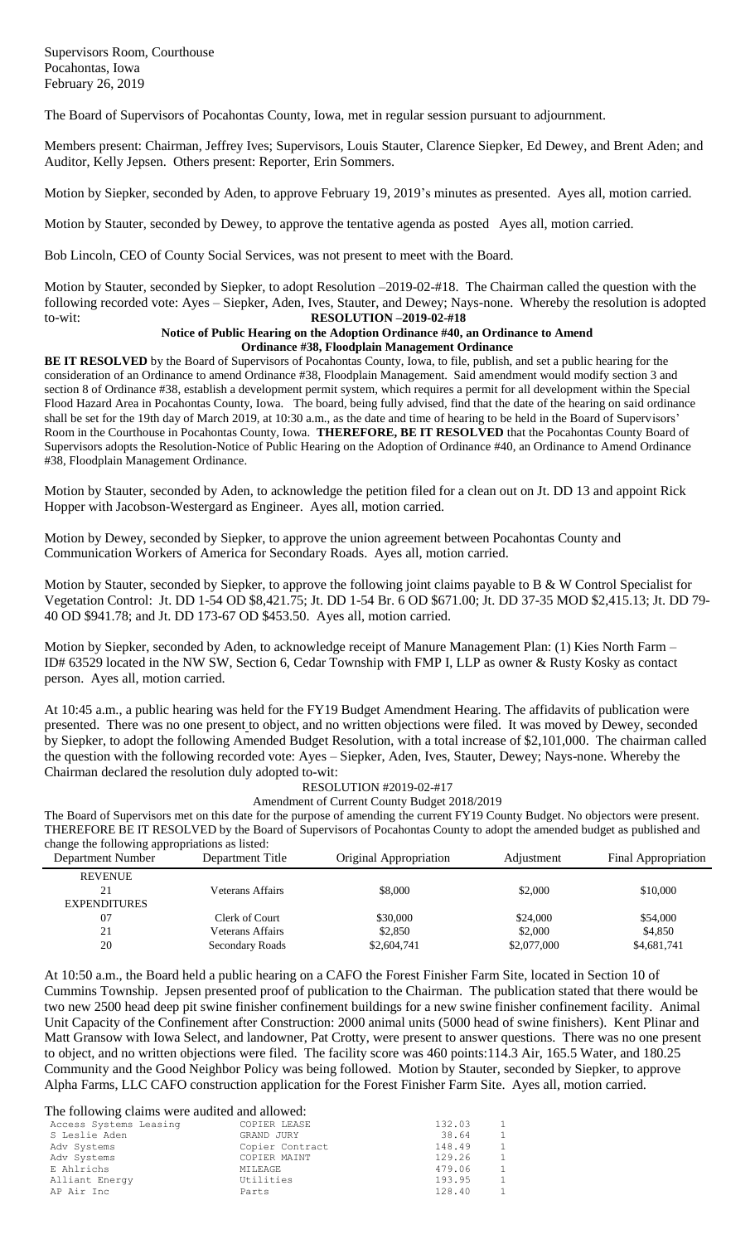The Board of Supervisors of Pocahontas County, Iowa, met in regular session pursuant to adjournment.

Members present: Chairman, Jeffrey Ives; Supervisors, Louis Stauter, Clarence Siepker, Ed Dewey, and Brent Aden; and Auditor, Kelly Jepsen. Others present: Reporter, Erin Sommers.

Motion by Siepker, seconded by Aden, to approve February 19, 2019's minutes as presented. Ayes all, motion carried.

Motion by Stauter, seconded by Dewey, to approve the tentative agenda as posted Ayes all, motion carried.

Bob Lincoln, CEO of County Social Services, was not present to meet with the Board.

Motion by Stauter, seconded by Siepker, to adopt Resolution –2019-02-#18. The Chairman called the question with the following recorded vote: Ayes – Siepker, Aden, Ives, Stauter, and Dewey; Nays-none. Whereby the resolution is adopted to-wit: **RESOLUTION –2019-02-#18**

## **Notice of Public Hearing on the Adoption Ordinance #40, an Ordinance to Amend Ordinance #38, Floodplain Management Ordinance**

**BE IT RESOLVED** by the Board of Supervisors of Pocahontas County, Iowa, to file, publish, and set a public hearing for the consideration of an Ordinance to amend Ordinance #38, Floodplain Management. Said amendment would modify section 3 and section 8 of Ordinance #38, establish a development permit system, which requires a permit for all development within the Special Flood Hazard Area in Pocahontas County, Iowa. The board, being fully advised, find that the date of the hearing on said ordinance shall be set for the 19th day of March 2019, at 10:30 a.m., as the date and time of hearing to be held in the Board of Supervisors' Room in the Courthouse in Pocahontas County, Iowa. **THEREFORE, BE IT RESOLVED** that the Pocahontas County Board of Supervisors adopts the Resolution-Notice of Public Hearing on the Adoption of Ordinance #40, an Ordinance to Amend Ordinance #38, Floodplain Management Ordinance.

Motion by Stauter, seconded by Aden, to acknowledge the petition filed for a clean out on Jt. DD 13 and appoint Rick Hopper with Jacobson-Westergard as Engineer. Ayes all, motion carried.

Motion by Dewey, seconded by Siepker, to approve the union agreement between Pocahontas County and Communication Workers of America for Secondary Roads. Ayes all, motion carried.

Motion by Stauter, seconded by Siepker, to approve the following joint claims payable to B & W Control Specialist for Vegetation Control: Jt. DD 1-54 OD \$8,421.75; Jt. DD 1-54 Br. 6 OD \$671.00; Jt. DD 37-35 MOD \$2,415.13; Jt. DD 79- 40 OD \$941.78; and Jt. DD 173-67 OD \$453.50. Ayes all, motion carried.

Motion by Siepker, seconded by Aden, to acknowledge receipt of Manure Management Plan: (1) Kies North Farm – ID# 63529 located in the NW SW, Section 6, Cedar Township with FMP I, LLP as owner & Rusty Kosky as contact person. Ayes all, motion carried.

At 10:45 a.m., a public hearing was held for the FY19 Budget Amendment Hearing. The affidavits of publication were presented. There was no one present to object, and no written objections were filed. It was moved by Dewey, seconded by Siepker, to adopt the following Amended Budget Resolution, with a total increase of \$2,101,000. The chairman called the question with the following recorded vote: Ayes – Siepker, Aden, Ives, Stauter, Dewey; Nays-none. Whereby the Chairman declared the resolution duly adopted to-wit:

## RESOLUTION #2019-02-#17

Amendment of Current County Budget 2018/2019

The Board of Supervisors met on this date for the purpose of amending the current FY19 County Budget. No objectors were present. THEREFORE BE IT RESOLVED by the Board of Supervisors of Pocahontas County to adopt the amended budget as published and change the following appropriations as listed:

| Department Number   | Department Title | Original Appropriation | Adjustment  | Final Appropriation |
|---------------------|------------------|------------------------|-------------|---------------------|
| <b>REVENUE</b>      |                  |                        |             |                     |
| 21                  | Veterans Affairs | \$8,000                | \$2,000     | \$10,000            |
| <b>EXPENDITURES</b> |                  |                        |             |                     |
| 07                  | Clerk of Court   | \$30,000               | \$24,000    | \$54,000            |
| 21                  | Veterans Affairs | \$2,850                | \$2,000     | \$4,850             |
| 20                  | Secondary Roads  | \$2,604,741            | \$2,077,000 | \$4,681,741         |

At 10:50 a.m., the Board held a public hearing on a CAFO the Forest Finisher Farm Site, located in Section 10 of Cummins Township. Jepsen presented proof of publication to the Chairman. The publication stated that there would be two new 2500 head deep pit swine finisher confinement buildings for a new swine finisher confinement facility. Animal Unit Capacity of the Confinement after Construction: 2000 animal units (5000 head of swine finishers). Kent Plinar and Matt Gransow with Iowa Select, and landowner, Pat Crotty, were present to answer questions. There was no one present to object, and no written objections were filed. The facility score was 460 points:114.3 Air, 165.5 Water, and 180.25 Community and the Good Neighbor Policy was being followed. Motion by Stauter, seconded by Siepker, to approve Alpha Farms, LLC CAFO construction application for the Forest Finisher Farm Site. Ayes all, motion carried.

The following claims were audited and allowed:

| Access Systems Leasing | COPIER LEASE    | 132.03 | $\overline{1}$ |
|------------------------|-----------------|--------|----------------|
| S Leslie Aden          | GRAND JURY      | 38.64  | $\overline{1}$ |
| Adv Systems            | Copier Contract | 148.49 | $\overline{1}$ |
| Adv Systems            | COPIER MAINT    | 129.26 | $\overline{1}$ |
| E Ahlrichs             | MILEAGE         | 479.06 | $\overline{1}$ |
| Alliant Energy         | Utilities       | 193.95 | -1             |
| AP Air Inc             | Parts           | 128.40 | $\overline{1}$ |
|                        |                 |        |                |